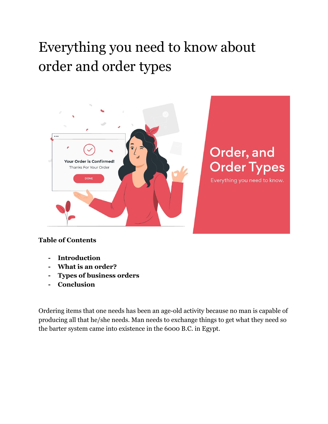# Everything you need to know about order and order types



#### **Table of Contents**

- **- Introduction**
- **- What is an order?**
- **- Types of business orders**
- **- Conclusion**

Ordering items that one needs has been an age-old activity because no man is capable of producing all that he/she needs. Man needs to exchange things to get what they need so the barter system came into existence in the 6000 B.C. in Egypt.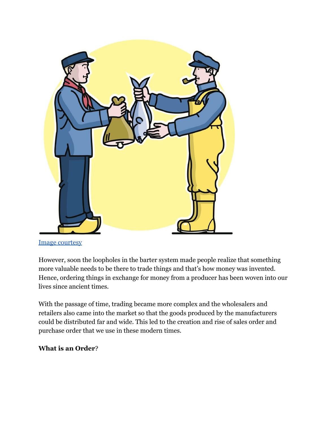

[Image courtesy](https://historyplex.com/barter-services-history-of-barter-system)

However, soon the loopholes in the barter system made people realize that something more valuable needs to be there to trade things and that's how money was invented. Hence, ordering things in exchange for money from a producer has been woven into our lives since ancient times.

With the passage of time, trading became more complex and the wholesalers and retailers also came into the market so that the goods produced by the manufacturers could be distributed far and wide. This led to the creation and rise of sales order and purchase order that we use in these modern times.

#### **What is an Order**?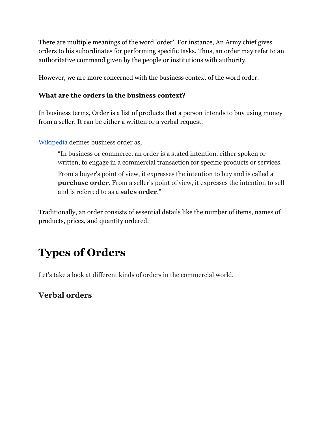There are multiple meanings of the word 'order'. For instance, An Army chief gives orders to his subordinates for performing specific tasks. Thus, an order may refer to an authoritative command given by the people or institutions with authority.

However, we are more concerned with the business context of the word order.

#### **What are the orders in the business context?**

In business terms, Order is a list of products that a person intends to buy using money from a seller. It can be either a written or a verbal request.

[Wikipedia](https://en.wikipedia.org/wiki/Order_(business)) defines business order as,

"In business or commerce, an order is a stated intention, either spoken or written, to engage in a commercial transaction for specific products or services.

From a buyer's point of view, it expresses the intention to buy and is called a **purchase order**. From a seller's point of view, it expresses the intention to sell and is referred to as a **sales order**."

Traditionally, an order consists of essential details like the number of items, names of products, prices, and quantity ordered.

# **Types of Orders**

Let's take a look at different kinds of orders in the commercial world.

## **Verbal orders**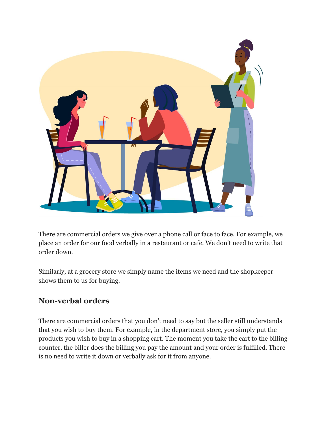

There are commercial orders we give over a phone call or face to face. For example, we place an order for our food verbally in a restaurant or cafe. We don't need to write that order down.

Similarly, at a grocery store we simply name the items we need and the shopkeeper shows them to us for buying.

## **Non-verbal orders**

There are commercial orders that you don't need to say but the seller still understands that you wish to buy them. For example, in the department store, you simply put the products you wish to buy in a shopping cart. The moment you take the cart to the billing counter, the biller does the billing you pay the amount and your order is fulfilled. There is no need to write it down or verbally ask for it from anyone.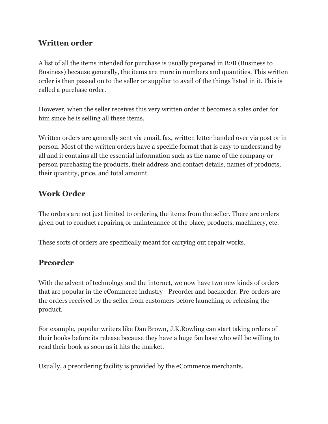#### **Written order**

A list of all the items intended for purchase is usually prepared in B2B (Business to Business) because generally, the items are more in numbers and quantities. This written order is then passed on to the seller or supplier to avail of the things listed in it. This is called a purchase order.

However, when the seller receives this very written order it becomes a sales order for him since he is selling all these items.

Written orders are generally sent via email, fax, written letter handed over via post or in person. Most of the written orders have a specific format that is easy to understand by all and it contains all the essential information such as the name of the company or person purchasing the products, their address and contact details, names of products, their quantity, price, and total amount.

## **Work Order**

The orders are not just limited to ordering the items from the seller. There are orders given out to conduct repairing or maintenance of the place, products, machinery, etc.

These sorts of orders are specifically meant for carrying out repair works.

## **Preorder**

With the advent of technology and the internet, we now have two new kinds of orders that are popular in the eCommerce industry - Preorder and backorder. Pre-orders are the orders received by the seller from customers before launching or releasing the product.

For example, popular writers like Dan Brown, J.K.Rowling can start taking orders of their books before its release because they have a huge fan base who will be willing to read their book as soon as it hits the market.

Usually, a preordering facility is provided by the eCommerce merchants.